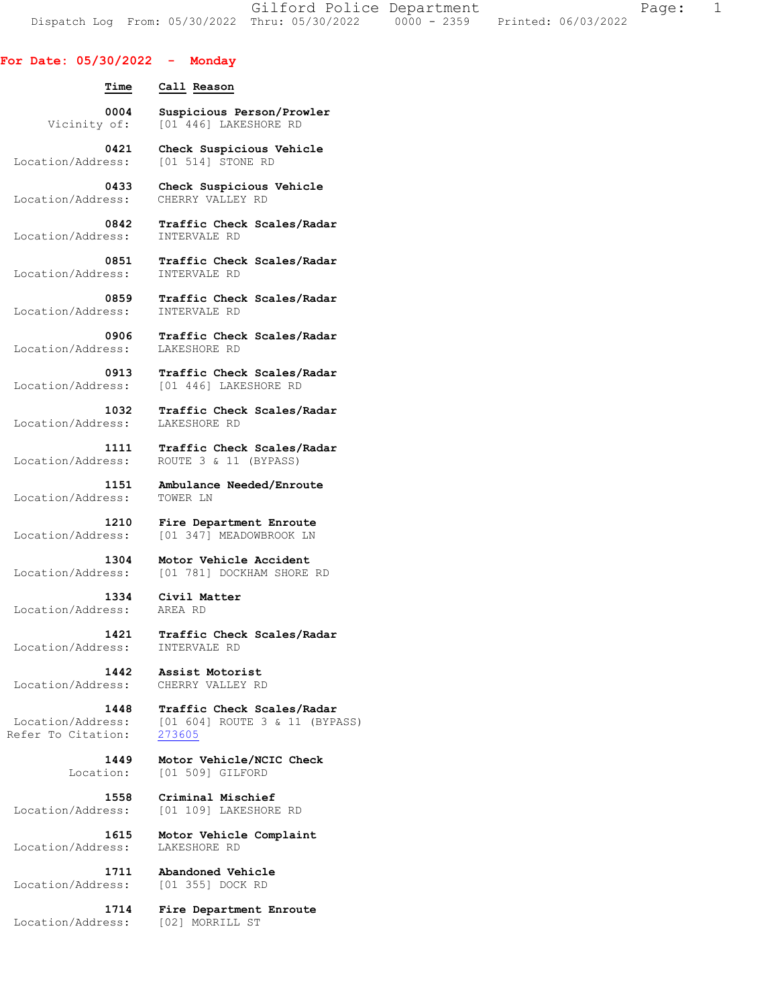Gilford Police Department Fage: 1 Dispatch Log From:  $05/30/2022$  Thru:  $05/30/2022$   $0000 - 2359$  Printed:  $06/03/2022$ 

## **For Date: 05/30/2022 - Monday**

| For Date: 05/30/2022 - Monday |                                |
|-------------------------------|--------------------------------|
| Time                          | Call Reason                    |
| 0004                          | Suspicious Person/Prowler      |
| Vicinity of:                  | [01 446] LAKESHORE RD          |
| 0421                          | Check Suspicious Vehicle       |
| Location/Address:             | [01 514] STONE RD              |
| 0433                          | Check Suspicious Vehicle       |
| Location/Address:             | CHERRY VALLEY RD               |
| 0842                          | Traffic Check Scales/Radar     |
| Location/Address:             | INTERVALE RD                   |
| 0851                          | Traffic Check Scales/Radar     |
| Location/Address:             | INTERVALE RD                   |
| 0859                          | Traffic Check Scales/Radar     |
| Location/Address:             | INTERVALE RD                   |
| 0906                          | Traffic Check Scales/Radar     |
| Location/Address:             | LAKESHORE RD                   |
| 0913                          | Traffic Check Scales/Radar     |
| Location/Address:             | [01 446] LAKESHORE RD          |
| 1032                          | Traffic Check Scales/Radar     |
| Location/Address:             | LAKESHORE RD                   |
| 1111                          | Traffic Check Scales/Radar     |
| Location/Address:             | ROUTE 3 & 11 (BYPASS)          |
| 1151                          | Ambulance Needed/Enroute       |
| Location/Address:             | TOWER LN                       |
| 1210                          | Fire Department Enroute        |
| Location/Address:             | [01 347] MEADOWBROOK LN        |
| 1304 -                        | Motor Vehicle Accident         |
| Location/Address:             | [01 781] DOCKHAM SHORE RD      |
| 1334                          | Civil Matter                   |
| Location/Address:             | AREA RD                        |
| 1421                          | Traffic Check Scales/Radar     |
| Location/Address:             | INTERVALE RD                   |
| 1442                          | Assist Motorist                |
| Location/Address:             | CHERRY VALLEY RD               |
| 1448                          | Traffic Check Scales/Radar     |
| Location/Address:             | [01 604] ROUTE 3 & 11 (BYPASS) |
| Refer To Citation:            | 273605                         |
| 1449                          | Motor Vehicle/NCIC Check       |
| Location:                     | [01 509] GILFORD               |
| 1558                          | Criminal Mischief              |
| Location/Address:             | [01 109] LAKESHORE RD          |
| 1615                          | Motor Vehicle Complaint        |
| Location/Address:             | LAKESHORE RD                   |
| 1711                          | Abandoned Vehicle              |
| Location/Address:             | [01 355] DOCK RD               |
| 1714                          | Fire Department Enroute        |
| Location/Address:             | [02] MORRILL ST                |